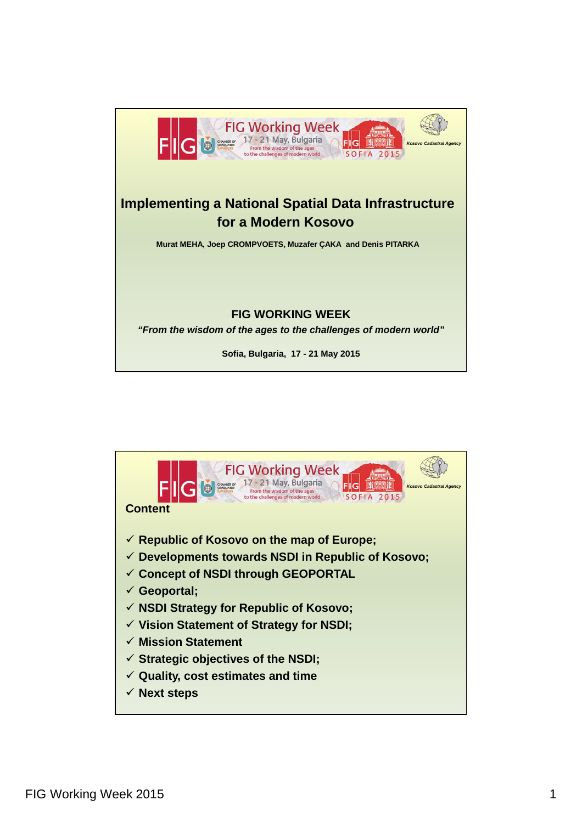

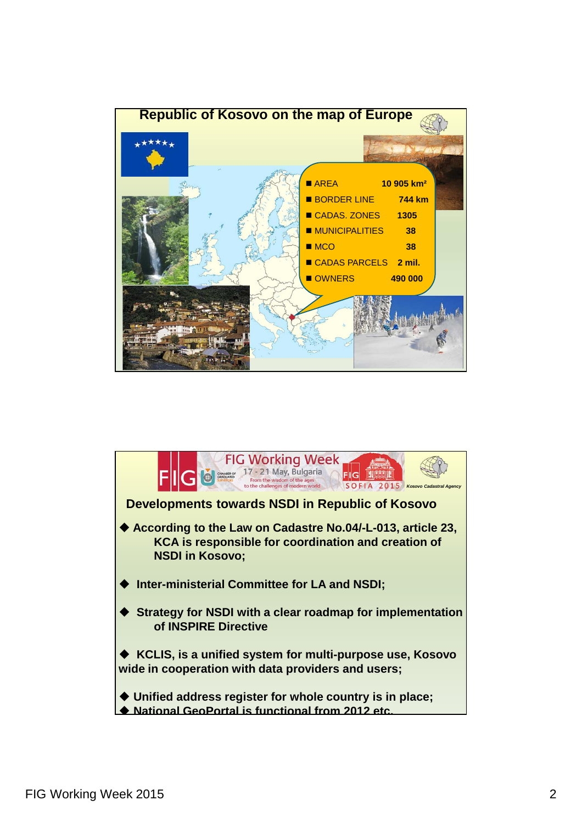

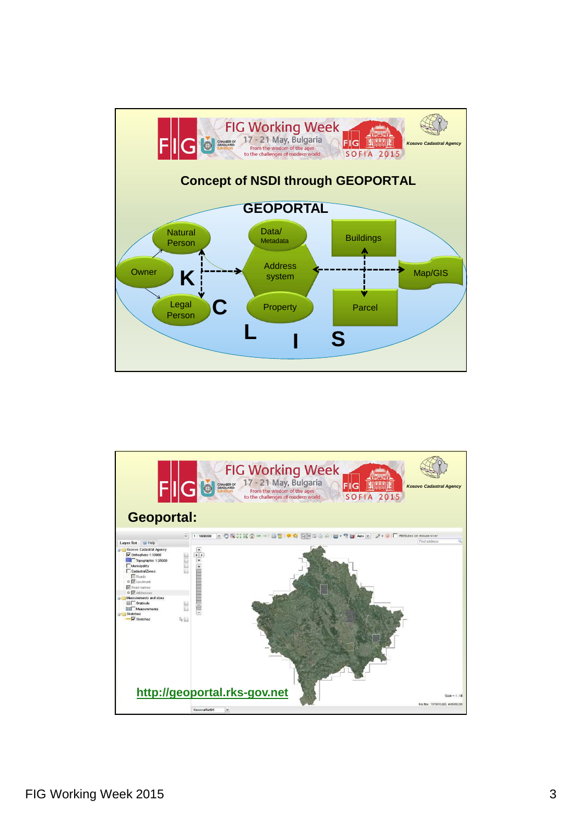

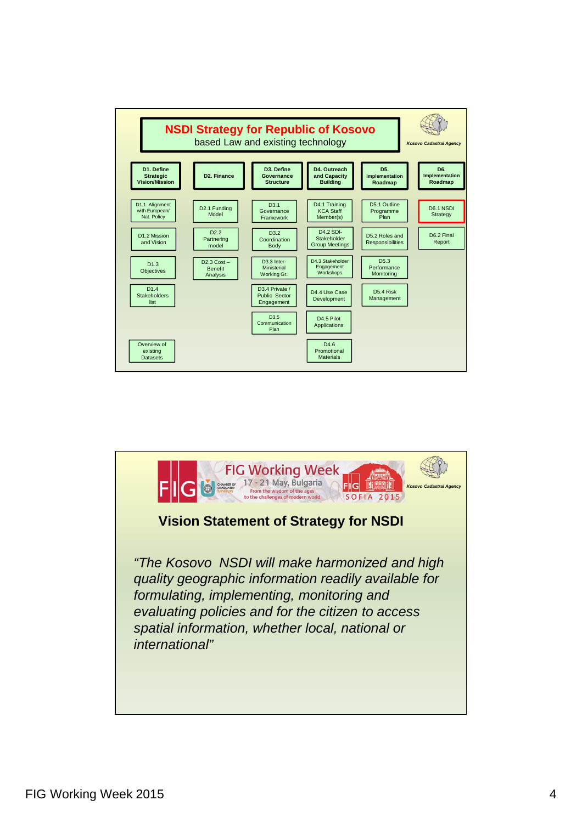

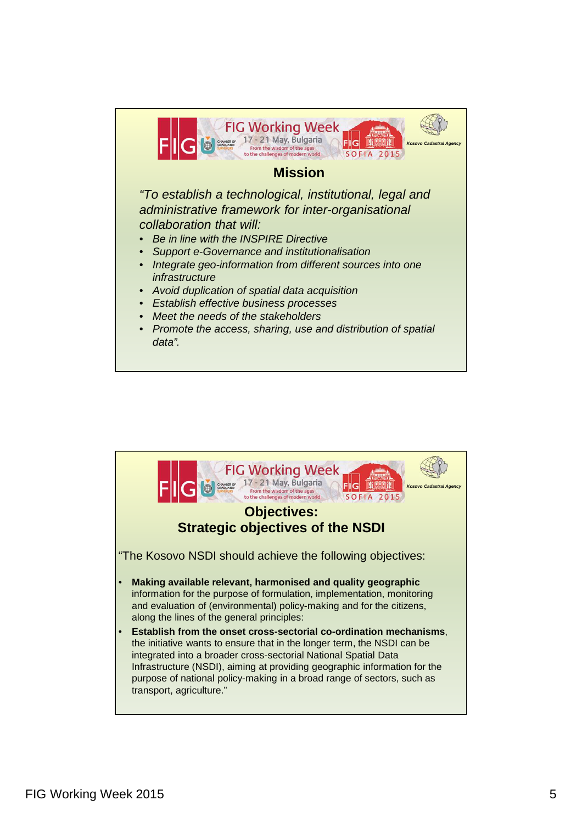

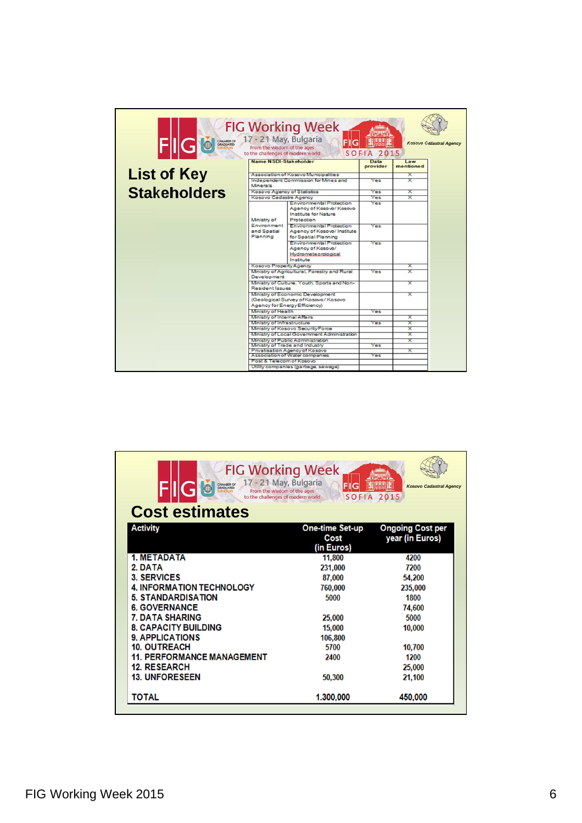| <b>FIG Working Week</b><br>CHANBER OF 17 - 21 May, Bulgaria<br><b>Kosovo Cadastral Agency</b><br>From the wisdom of the ages<br><b>SOFIA 2015</b><br>to the challenges of modern world |                                                                                                                   |                                                                                           |                  |                  |  |  |  |
|----------------------------------------------------------------------------------------------------------------------------------------------------------------------------------------|-------------------------------------------------------------------------------------------------------------------|-------------------------------------------------------------------------------------------|------------------|------------------|--|--|--|
|                                                                                                                                                                                        | Name NSDI-Stakeholder<br>Association of Kosovo Municipalities<br>Independent Commission for Mines and<br>Minerals |                                                                                           | Data<br>provider | Law<br>mentioned |  |  |  |
| <b>List of Key</b>                                                                                                                                                                     |                                                                                                                   |                                                                                           |                  | Ⴟ                |  |  |  |
|                                                                                                                                                                                        |                                                                                                                   |                                                                                           | Yes              | X                |  |  |  |
| <b>Stakeholders</b>                                                                                                                                                                    | Kosovo Agency of Statistics                                                                                       |                                                                                           | Yes              | X                |  |  |  |
|                                                                                                                                                                                        | Kosovo Cadastre Agency                                                                                            |                                                                                           | Yes              | ᆓ                |  |  |  |
|                                                                                                                                                                                        | Ministry of<br>Environment<br>and Spatial<br>Planning                                                             | Environmental Protection<br>Agency of Kosovo/Kosovo<br>Institute for Nature<br>Protection | Yes              |                  |  |  |  |
|                                                                                                                                                                                        |                                                                                                                   | Environmental Protection<br>Agency of Kosovo/ Institute<br>for Spatial Planning           | Yes              |                  |  |  |  |
|                                                                                                                                                                                        |                                                                                                                   | Environmental Protection<br>Agency of Kosovo/<br><b>Hydrometeorplogical</b><br>Institute  | Yes              |                  |  |  |  |
|                                                                                                                                                                                        | Kosovo Property Agency                                                                                            |                                                                                           |                  | x                |  |  |  |
|                                                                                                                                                                                        | Ministry of Agricultural, Forestry and Rural<br>Development                                                       |                                                                                           | Yes              | X                |  |  |  |
|                                                                                                                                                                                        | Ministry of Culture, Youth, Sports and Non-<br>Resident Issues                                                    |                                                                                           |                  | X                |  |  |  |
|                                                                                                                                                                                        | Ministry of Economic Development<br>(Geological Survey of Kosovo / Kosovo<br>Agency for Energy Efficiency)        |                                                                                           |                  | ᆓ                |  |  |  |
|                                                                                                                                                                                        | Ministry of Health                                                                                                |                                                                                           | Yes              |                  |  |  |  |
|                                                                                                                                                                                        | Ministry of Internal Affairs                                                                                      |                                                                                           |                  | ᆓ                |  |  |  |
|                                                                                                                                                                                        | Ministry of Infrastructure                                                                                        |                                                                                           | Yes              | X<br>X           |  |  |  |
|                                                                                                                                                                                        | Ministry of Kosovo Security Force<br>Ministry of Local Government Administration                                  |                                                                                           |                  | <del>Χ</del>     |  |  |  |
|                                                                                                                                                                                        | Ministry of Public Administration                                                                                 |                                                                                           |                  | ᆓ                |  |  |  |
|                                                                                                                                                                                        | Ministry of Trade and Industry                                                                                    |                                                                                           | Yes              |                  |  |  |  |
|                                                                                                                                                                                        | Privatisation Agency of Kosovo                                                                                    |                                                                                           |                  | X                |  |  |  |
|                                                                                                                                                                                        | Association of Water companies                                                                                    |                                                                                           | Yes              |                  |  |  |  |
|                                                                                                                                                                                        | Post & Telecom of Kosovo<br>Utility companies (garbage, sewage)                                                   |                                                                                           |                  |                  |  |  |  |
|                                                                                                                                                                                        |                                                                                                                   |                                                                                           |                  |                  |  |  |  |

| <b>FIG Working Week</b><br>CHANBER OF 17 - 21 May, Bulgaria<br>G<br>From the wisdom of the ages<br>to the challenges of modern world |                                              | <b>Kosovo Cadastral Agency</b><br><b>SOFIA 2015</b> |
|--------------------------------------------------------------------------------------------------------------------------------------|----------------------------------------------|-----------------------------------------------------|
| <b>Cost estimates</b>                                                                                                                |                                              |                                                     |
| <b>Activity</b>                                                                                                                      | <b>One-time Set-up</b><br>Cost<br>(in Euros) | <b>Ongoing Cost per</b><br>year (in Euros)          |
| <b>1. METADATA</b>                                                                                                                   | 11,800                                       | 4200                                                |
| 2. DATA                                                                                                                              | 231,000                                      | 7200                                                |
| <b>3. SERVICES</b>                                                                                                                   | 87,000                                       | 54,200                                              |
| <b>4. INFORMATION TECHNOLOGY</b>                                                                                                     | 760,000                                      | 235,000                                             |
| <b>5. STANDARDISATION</b>                                                                                                            | 5000                                         | 1800                                                |
| <b>6. GOVERNANCE</b>                                                                                                                 |                                              | 74,600                                              |
| <b>7. DATA SHARING</b>                                                                                                               | 25,000                                       | 5000                                                |
| <b>8. CAPACITY BUILDING</b>                                                                                                          | 15,000                                       | 10,000                                              |
| <b>9. APPLICATIONS</b>                                                                                                               | 106,800                                      |                                                     |
| <b>10. OUTREACH</b>                                                                                                                  | 5700                                         | 10,700                                              |
| <b>11. PERFORMANCE MANAGEMENT</b>                                                                                                    | 2400                                         | 1200                                                |
| <b>12. RESEARCH</b>                                                                                                                  |                                              | 25,000                                              |
| <b>13. UNFORESEEN</b>                                                                                                                | 50,300                                       | 21,100                                              |
| TOTAL                                                                                                                                | 1.300,000                                    | 450,000                                             |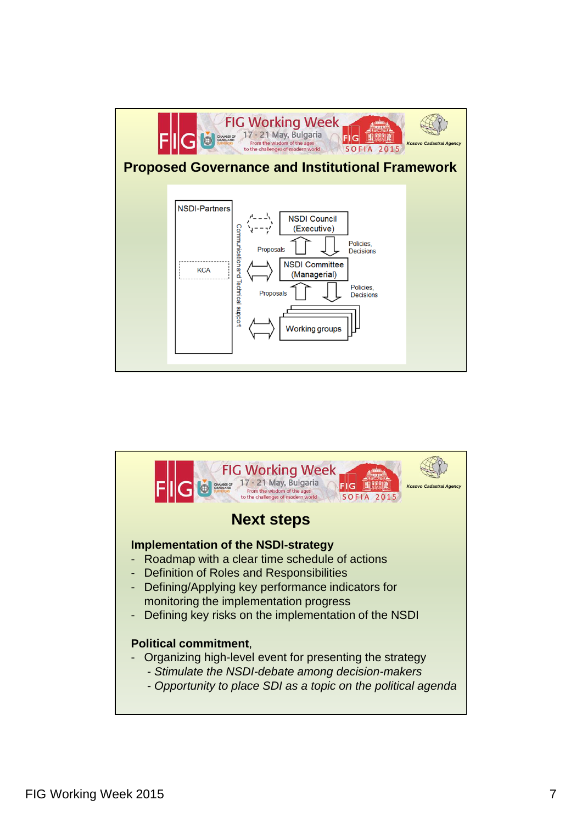